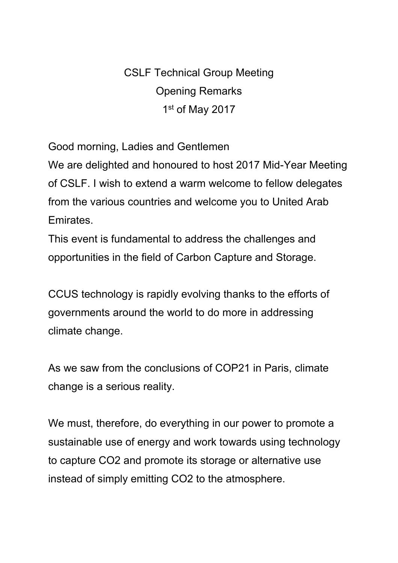CSLF Technical Group Meeting Opening Remarks 1 st of May 2017

Good morning, Ladies and Gentlemen

We are delighted and honoured to host 2017 Mid-Year Meeting of CSLF. I wish to extend a warm welcome to fellow delegates from the various countries and welcome you to United Arab Emirates.

This event is fundamental to address the challenges and opportunities in the field of Carbon Capture and Storage.

CCUS technology is rapidly evolving thanks to the efforts of governments around the world to do more in addressing climate change.

As we saw from the conclusions of COP21 in Paris, climate change is a serious reality.

We must, therefore, do everything in our power to promote a sustainable use of energy and work towards using technology to capture CO2 and promote its storage or alternative use instead of simply emitting CO2 to the atmosphere.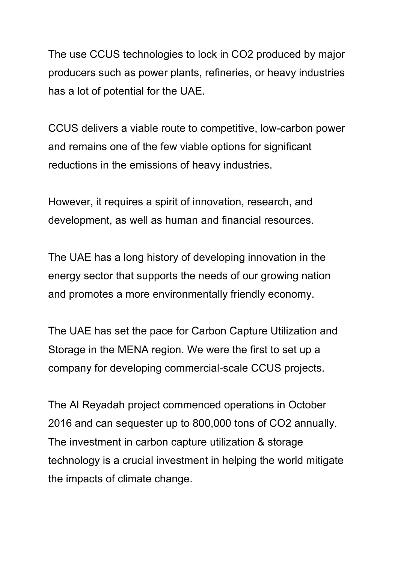The use CCUS technologies to lock in CO2 produced by major producers such as power plants, refineries, or heavy industries has a lot of potential for the UAE.

CCUS delivers a viable route to competitive, low-carbon power and remains one of the few viable options for significant reductions in the emissions of heavy industries.

However, it requires a spirit of innovation, research, and development, as well as human and financial resources.

The UAE has a long history of developing innovation in the energy sector that supports the needs of our growing nation and promotes a more environmentally friendly economy.

The UAE has set the pace for Carbon Capture Utilization and Storage in the MENA region. We were the first to set up a company for developing commercial-scale CCUS projects.

The Al Reyadah project commenced operations in October 2016 and can sequester up to 800,000 tons of CO2 annually. The investment in carbon capture utilization & storage technology is a crucial investment in helping the world mitigate the impacts of climate change.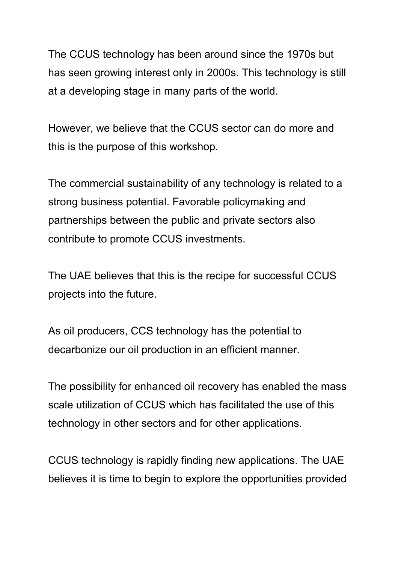The CCUS technology has been around since the 1970s but has seen growing interest only in 2000s. This technology is still at a developing stage in many parts of the world.

However, we believe that the CCUS sector can do more and this is the purpose of this workshop.

The commercial sustainability of any technology is related to a strong business potential. Favorable policymaking and partnerships between the public and private sectors also contribute to promote CCUS investments.

The UAE believes that this is the recipe for successful CCUS projects into the future.

As oil producers, CCS technology has the potential to decarbonize our oil production in an efficient manner.

The possibility for enhanced oil recovery has enabled the mass scale utilization of CCUS which has facilitated the use of this technology in other sectors and for other applications.

CCUS technology is rapidly finding new applications. The UAE believes it is time to begin to explore the opportunities provided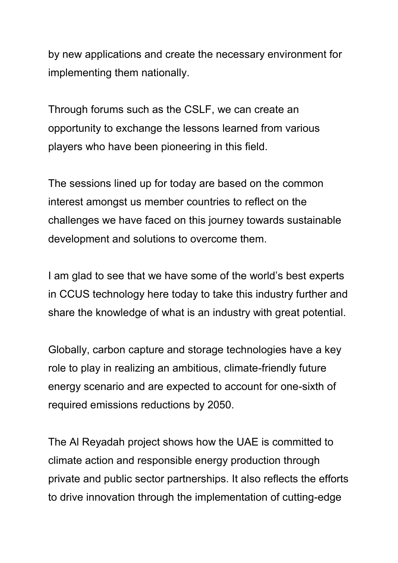by new applications and create the necessary environment for implementing them nationally.

Through forums such as the CSLF, we can create an opportunity to exchange the lessons learned from various players who have been pioneering in this field.

The sessions lined up for today are based on the common interest amongst us member countries to reflect on the challenges we have faced on this journey towards sustainable development and solutions to overcome them.

I am glad to see that we have some of the world's best experts in CCUS technology here today to take this industry further and share the knowledge of what is an industry with great potential.

Globally, carbon capture and storage technologies have a key role to play in realizing an ambitious, climate-friendly future energy scenario and are expected to account for one-sixth of required emissions reductions by 2050.

The Al Reyadah project shows how the UAE is committed to climate action and responsible energy production through private and public sector partnerships. It also reflects the efforts to drive innovation through the implementation of cutting-edge